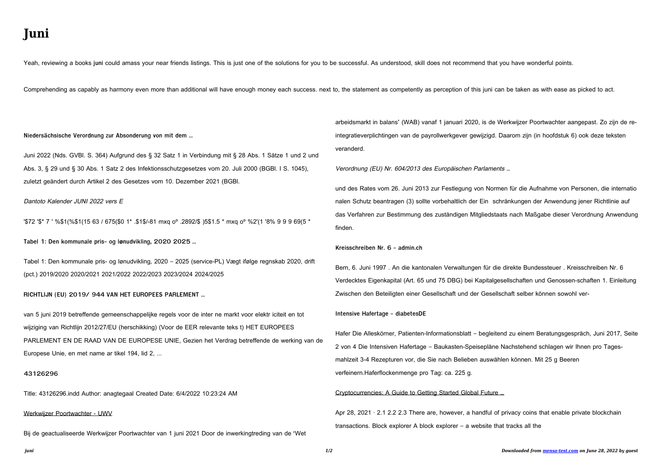# Juni

Yeah, reviewing a books juni could amass your near friends listings. This is just one of the solutions for you to be successful. As understood, skill does not recommend that you have wonderful points.

Comprehending as capably as harmony even more than additional will have enough money each success. next to, the statement as competently as perception of this juni can be taken as with ease as picked to act.

#### Niedersächsische Verordnung zur Absonderung von mit dem ...

Juni 2022 (Nds. GVBI. S. 364) Aufgrund des § 32 Satz 1 in Verbindung mit § 28 Abs. 1 Sätze 1 und 2 und Abs. 3, § 29 und § 30 Abs. 1 Satz 2 des Infektionsschutzgesetzes vom 20. Juli 2000 (BGBI. I S. 1045). zuletzt geändert durch Artikel 2 des Gesetzes vom 10. Dezember 2021 (BGBI.

### Dantoto Kalender JUNI 2022 vers E

"\$72 '\$\* 7 ' %\$1(%\$1(15 63 / 675(\$0 1\* .\$1\$/-81 mxq o<sup>o</sup> .2892/\$ )5\$1.5 \* mxq o<sup>o</sup> %2'(1 '8% 9 9 9 69(5 \*

Tabel 1: Den kommunale pris- og lønudvikling, 2020 2025 ...

Tabel 1: Den kommunale pris- og lønudvikling, 2020 - 2025 (service-PL) Vægt ifølge regnskab 2020, drift (pct.) 2019/2020 2020/2021 2021/2022 2022/2023 2023/2024 2024/2025

RICHTLIJN (EU) 2019/ 944 VAN HET EUROPEES PARLEMENT ...

van 5 juni 2019 betreffende gemeenschappelijke regels voor de inter ne markt voor elektr iciteit en tot wijziging van Richtlijn 2012/27/EU (herschikking) (Voor de EER relevante teks t) HET EUROPEES PARLEMENT EN DE RAAD VAN DE EUROPESE UNIE, Gezien het Verdrag betreffende de werking van de Europese Unie, en met name ar tikel 194, lid 2, ...

#### 43126296

Title: 43126296.indd Author: anagtegaal Created Date: 6/4/2022 10:23:24 AM

#### Werkwijzer Poortwachter - UWV

Bij de geactualiseerde Werkwijzer Poortwachter van 1 juni 2021 Door de inwerkingtreding van de 'Wet

arbeidsmarkt in balans' (WAB) vanaf 1 januari 2020, is de Werkwijzer Poortwachter aangepast. Zo zijn de reintegratieverplichtingen van de payrollwerkgever gewijzigd. Daarom zijn (in hoofdstuk 6) ook deze teksten veranderd.

Verordnung (EU) Nr. 604/2013 des Europäischen Parlaments ...

und des Rates vom 26. Juni 2013 zur Festlegung von Normen für die Aufnahme von Personen, die internatio nalen Schutz beantragen (3) sollte vorbehaltlich der Ein schränkungen der Anwendung jener Richtlinie auf das Verfahren zur Bestimmung des zuständigen Mitgliedstaats nach Maßgabe dieser Verordnung Anwendung finden.

# Kreisschreiben Nr. 6 - admin.ch

Bern, 6. Juni 1997. An die kantonalen Verwaltungen für die direkte Bundessteuer. Kreisschreiben Nr. 6 Verdecktes Eigenkapital (Art. 65 und 75 DBG) bei Kapitalgesellschaften und Genossen-schaften 1. Einleitung Zwischen den Beteiligten einer Gesellschaft und der Gesellschaft selber können sowohl ver-

#### Intensive Hafertage - diabetesDE

Hafer Die Alleskörner, Patienten-Informationsblatt – begleitend zu einem Beratungsgespräch, Juni 2017, Seite 2 von 4 Die Intensiven Hafertage – Baukasten-Speisepläne Nachstehend schlagen wir Ihnen pro Tagesmahlzeit 3-4 Rezepturen vor, die Sie nach Belieben auswählen können. Mit 25 g Beeren verfeinern. Haferflockenmenge pro Tag: ca. 225 g.

# Cryptocurrencies: A Guide to Getting Started Global Future ...

Apr 28, 2021 · 2.1 2.2 2.3 There are, however, a handful of privacy coins that enable private blockchain transactions. Block explorer A block explorer  $-$  a website that tracks all the

juni